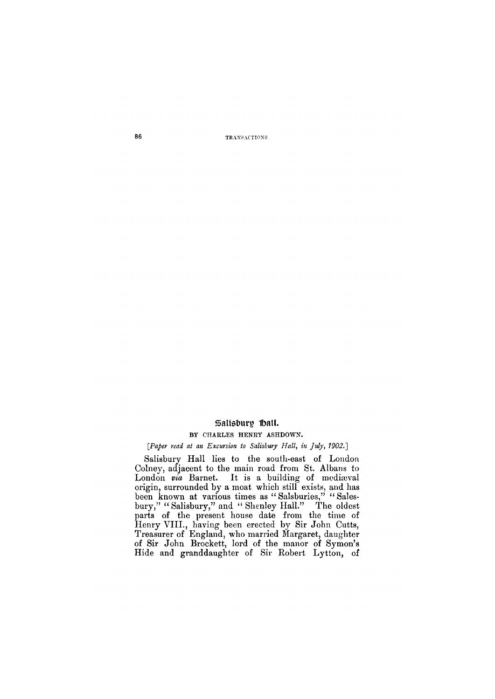**86 TRANSACTIONS.** 

# Salisbury Hall.

#### **BY CHARLES HENRY ASHDOWN.**

#### *[Paper read at an Excursion to Salisbury Hall, in July, 1902.]*

Salisbury Hall lies to the south-east of London Colney, adjacent to the main road from St. Albans to London via Barnet. It is a building of mediaval origin, surrounded by a moat which still exists, and has been known at various times as "Salsburies," "Salesbury," "Salisbury," and "Shenley Hall." The oldest parts of the present house date from the time of Henry VIII., having been erected by Sir John Cutts, Treasurer of England, who married Margaret, daughter of Sir John Brockett, lord of the manor of Symon's Hide and granddaughter of Sir Robert Lytton, of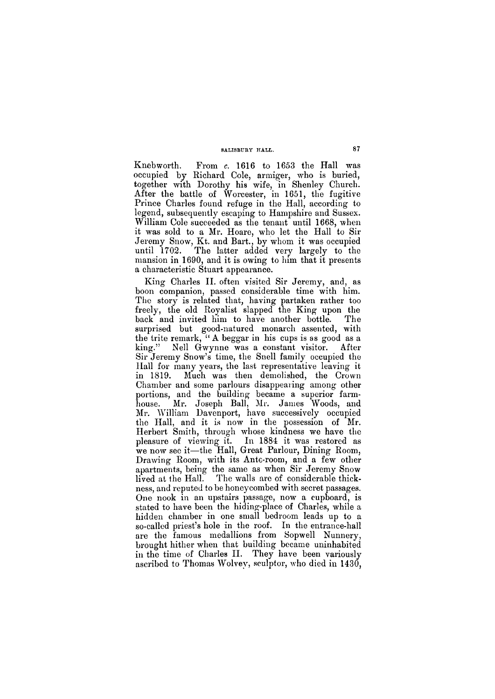### **SALISBURY HALL. 87**

Knebworth. From *c.* 1616 to 1653 the Hall was occupied by Richard Cole, armiger, who is buried, together with Dorothy his wife, in Shenley Church. After the battle of Worcester, in 1651, the fugitive Prince Charles found refuge in the Hall, according to legend, subsequently escaping to Hampshire and Sussex. William Cole succeeded as the tenant until 1668, when it was sold to a Mr. Hoare, who let the Hall to Sir Jeremy Snow, Kt. and Bart., by whom it was occupied until 1702. The latter added very largely to the mansion in 1690, and it is owing to him that it presents a characteristic Stuart appearance.

King Charles II. often visited Sir Jeremy, and, as boon companion, passed considerable time with him. The story is related that, having partaken rather too freely, the old Royalist slapped the King upon the back and invited him to have another bottle. The surprised but good-natured monarch assented, with the trite remark, " A beggar in his cups is as good as a king." Nell Gwynne was a constant visitor. After Sir Jeremy Snow's time, the Snell family occupied the Hall for many years, the last representative leaving it in 1819. Much was then demolished, the Crown Chamber and some parlours disappearing among other portions, and the building became a superior farmhouse. Mr. Joseph Ball, Mr. James Woods, and Mr. William Davenport, have successively occupied the Hall, and it is now in the possession of Mr. Herbert Smith, through whose kindness we have the pleasure of viewing it. In 1884 it was restored as we now see it—the Hall, Great Parlour, Dining Room, Drawing Room, with its Ante-room, and a few other apartments, being the same as when Sir Jeremy Snow lived at the Hall. The walls are of considerable thickness, and reputed to be honeycombed with secret passages. One nook in an upstairs passage, now a cupboard, is stated to have been the hiding-place of Charles, while a hidden chamber in one small bedroom leads up to a so-called priest's hole in the roof. In the entrance-hall are the famous medallions from Sopwell Nunnery, brought hither when that building became uninhabited in the time of Charles II. They have been variously ascribed to Thomas Wolvey, sculptor, who died in 1430,